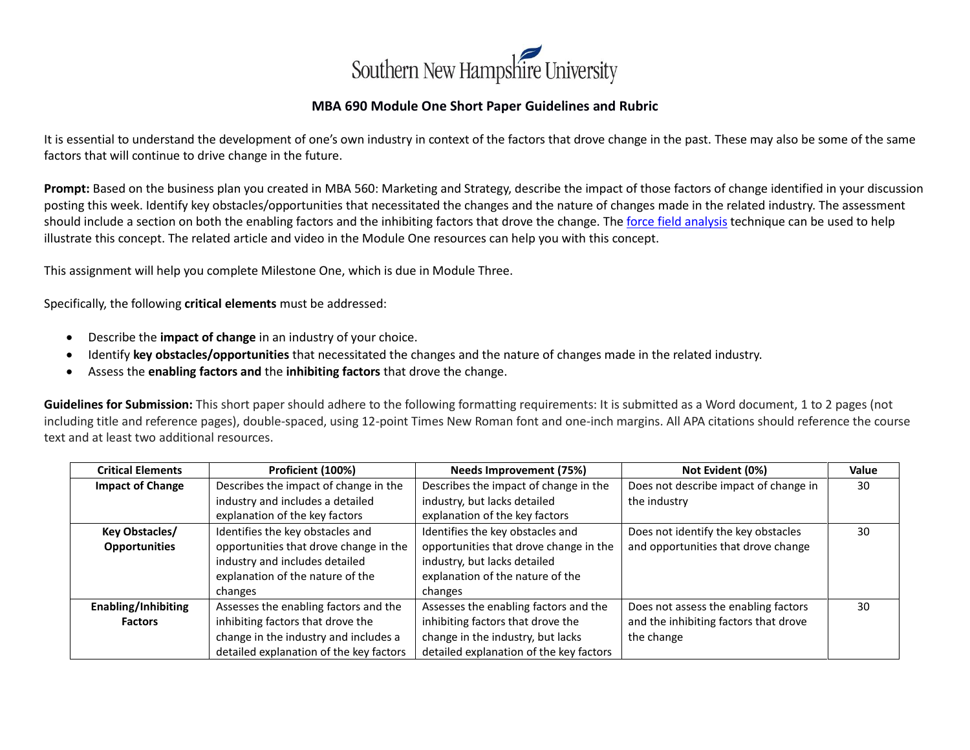

## **MBA 690 Module One Short Paper Guidelines and Rubric**

It is essential to understand the development of one's own industry in context of the factors that drove change in the past. These may also be some of the same factors that will continue to drive change in the future.

**Prompt:** Based on the business plan you created in MBA 560: Marketing and Strategy, describe the impact of those factors of change identified in your discussion posting this week. Identify key obstacles/opportunities that necessitated the changes and the nature of changes made in the related industry. The assessment should include a section on both the enabling factors and the inhibiting factors that drove the change. Th[e force field analysis](https://www.mindtools.com/pages/article/newTED_06.htm) technique can be used to help illustrate this concept. The related article and video in the Module One resources can help you with this concept.

This assignment will help you complete Milestone One, which is due in Module Three.

Specifically, the following **critical elements** must be addressed:

- Describe the **impact of change** in an industry of your choice.
- Identify **key obstacles/opportunities** that necessitated the changes and the nature of changes made in the related industry.
- Assess the **enabling factors and** the **inhibiting factors** that drove the change.

**Guidelines for Submission:** This short paper should adhere to the following formatting requirements: It is submitted as a Word document, 1 to 2 pages (not including title and reference pages), double-spaced, using 12-point Times New Roman font and one-inch margins. All APA citations should reference the course text and at least two additional resources.

| <b>Critical Elements</b>   | Proficient (100%)                       | <b>Needs Improvement (75%)</b>          | Not Evident (0%)                      | Value |
|----------------------------|-----------------------------------------|-----------------------------------------|---------------------------------------|-------|
| <b>Impact of Change</b>    | Describes the impact of change in the   | Describes the impact of change in the   | Does not describe impact of change in | 30    |
|                            | industry and includes a detailed        | industry, but lacks detailed            | the industry                          |       |
|                            | explanation of the key factors          | explanation of the key factors          |                                       |       |
| Key Obstacles/             | Identifies the key obstacles and        | Identifies the key obstacles and        | Does not identify the key obstacles   | 30    |
| <b>Opportunities</b>       | opportunities that drove change in the  | opportunities that drove change in the  | and opportunities that drove change   |       |
|                            | industry and includes detailed          | industry, but lacks detailed            |                                       |       |
|                            | explanation of the nature of the        | explanation of the nature of the        |                                       |       |
|                            | changes                                 | changes                                 |                                       |       |
| <b>Enabling/Inhibiting</b> | Assesses the enabling factors and the   | Assesses the enabling factors and the   | Does not assess the enabling factors  | 30    |
| <b>Factors</b>             | inhibiting factors that drove the       | inhibiting factors that drove the       | and the inhibiting factors that drove |       |
|                            | change in the industry and includes a   | change in the industry, but lacks       | the change                            |       |
|                            | detailed explanation of the key factors | detailed explanation of the key factors |                                       |       |